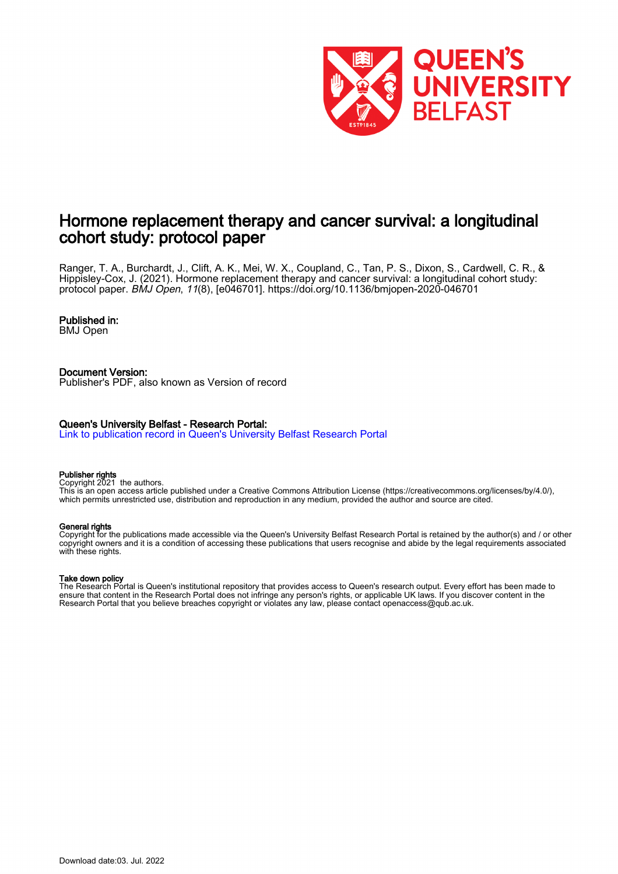

# Hormone replacement therapy and cancer survival: a longitudinal cohort study: protocol paper

Ranger, T. A., Burchardt, J., Clift, A. K., Mei, W. X., Coupland, C., Tan, P. S., Dixon, S., Cardwell, C. R., & Hippisley-Cox, J. (2021). Hormone replacement therapy and cancer survival: a longitudinal cohort study: protocol paper. BMJ Open, 11(8), [e046701].<https://doi.org/10.1136/bmjopen-2020-046701>

# Published in:

BMJ Open

Document Version: Publisher's PDF, also known as Version of record

# Queen's University Belfast - Research Portal:

[Link to publication record in Queen's University Belfast Research Portal](https://pure.qub.ac.uk/en/publications/153da1b1-e3c7-40d9-8fee-3560be3b9ef2)

#### Publisher rights

Copyright 2021 the authors.

This is an open access article published under a Creative Commons Attribution License (https://creativecommons.org/licenses/by/4.0/), which permits unrestricted use, distribution and reproduction in any medium, provided the author and source are cited.

#### General rights

Copyright for the publications made accessible via the Queen's University Belfast Research Portal is retained by the author(s) and / or other copyright owners and it is a condition of accessing these publications that users recognise and abide by the legal requirements associated with these rights.

# Take down policy

The Research Portal is Queen's institutional repository that provides access to Queen's research output. Every effort has been made to ensure that content in the Research Portal does not infringe any person's rights, or applicable UK laws. If you discover content in the Research Portal that you believe breaches copyright or violates any law, please contact openaccess@qub.ac.uk.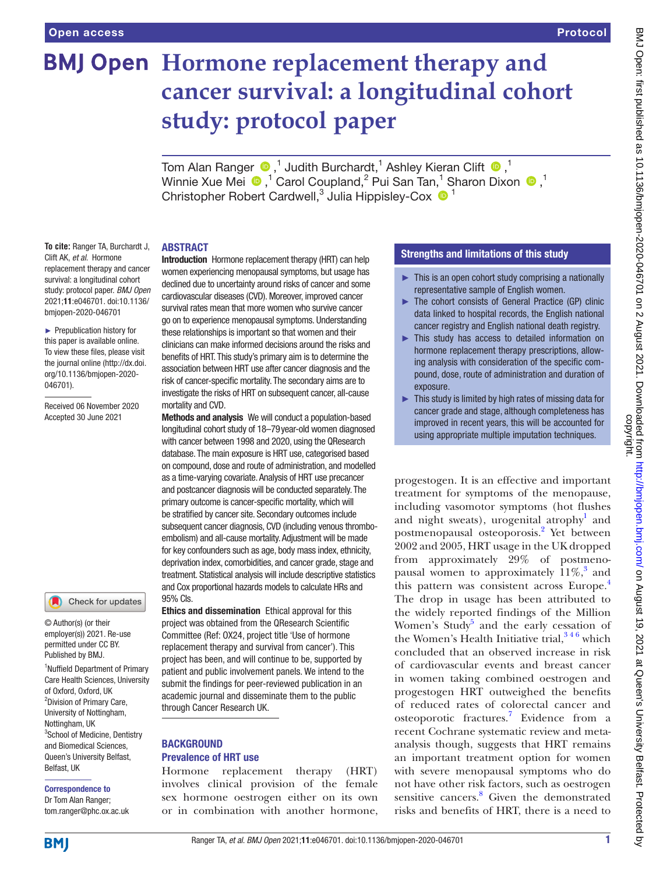# **BMJ Open** Hormone replacement therapy and **cancer survival: a longitudinal cohort study: protocol paper**

TomAlan Ranger  $\bigcirc$  ,<sup>1</sup> Judith Burchardt,<sup>1</sup> Ashley Kieran Clift  $\bigcirc$  ,<sup>1</sup> WinnieXue Mei  $\bigcirc$  ,<sup>1</sup> Carol Coupland,<sup>2</sup> Pui San Tan,<sup>1</sup> Sharon Dixon  $\bigcirc$  ,<sup>1</sup> Christopher Robert Cardwell,<sup>3</sup> Julia Hippisley-Cox  $\bullet$ <sup>1</sup>

# ABSTRACT

**To cite:** Ranger TA, Burchardt J, Clift AK, *et al*. Hormone replacement therapy and cancer survival: a longitudinal cohort study: protocol paper. *BMJ Open* 2021;11:e046701. doi:10.1136/ bmjopen-2020-046701

► Prepublication history for this paper is available online. To view these files, please visit the journal online (http://dx.doi. org/10.1136/bmjopen-2020- 046701).

Received 06 November 2020 Accepted 30 June 2021



© Author(s) (or their employer(s)) 2021. Re-use permitted under CC BY. Published by BMJ.

<sup>1</sup>Nuffield Department of Primary Care Health Sciences, University of Oxford, Oxford, UK <sup>2</sup> Division of Primary Care, University of Nottingham, Nottingham, UK <sup>3</sup>School of Medicine, Dentistry and Biomedical Sciences, Queen's University Belfast, Belfast, UK

# Correspondence to

Dr Tom Alan Ranger; tom.ranger@phc.ox.ac.uk Introduction Hormone replacement therapy (HRT) can help women experiencing menopausal symptoms, but usage has declined due to uncertainty around risks of cancer and some cardiovascular diseases (CVD). Moreover, improved cancer survival rates mean that more women who survive cancer go on to experience menopausal symptoms. Understanding these relationships is important so that women and their clinicians can make informed decisions around the risks and benefits of HRT. This study's primary aim is to determine the association between HRT use after cancer diagnosis and the risk of cancer-specific mortality. The secondary aims are to investigate the risks of HRT on subsequent cancer, all-cause mortality and CVD.

Methods and analysis We will conduct a population-based longitudinal cohort study of 18–79year-old women diagnosed with cancer between 1998 and 2020, using the QResearch database. The main exposure is HRT use, categorised based on compound, dose and route of administration, and modelled as a time-varying covariate. Analysis of HRT use precancer and postcancer diagnosis will be conducted separately. The primary outcome is cancer-specific mortality, which will be stratified by cancer site. Secondary outcomes include subsequent cancer diagnosis, CVD (including venous thromboembolism) and all-cause mortality. Adjustment will be made for key confounders such as age, body mass index, ethnicity, deprivation index, comorbidities, and cancer grade, stage and treatment. Statistical analysis will include descriptive statistics and Cox proportional hazards models to calculate HRs and 95% CIs.

Ethics and dissemination Ethical approval for this project was obtained from the QResearch Scientific Committee (Ref: OX24, project title 'Use of hormone replacement therapy and survival from cancer'). This project has been, and will continue to be, supported by patient and public involvement panels. We intend to the submit the findings for peer-reviewed publication in an academic journal and disseminate them to the public through Cancer Research UK.

# **BACKGROUND** Prevalence of HRT use

Hormone replacement therapy (HRT) involves clinical provision of the female sex hormone oestrogen either on its own or in combination with another hormone,

# Strengths and limitations of this study

- ► This is an open cohort study comprising a nationally representative sample of English women.
- ► The cohort consists of General Practice (GP) clinic data linked to hospital records, the English national cancer registry and English national death registry.
- ► This study has access to detailed information on hormone replacement therapy prescriptions, allowing analysis with consideration of the specific compound, dose, route of administration and duration of exposure.
- $\blacktriangleright$  This study is limited by high rates of missing data for cancer grade and stage, although completeness has improved in recent years, this will be accounted for using appropriate multiple imputation techniques.

progestogen. It is an effective and important treatment for symptoms of the menopause, including vasomotor symptoms (hot flushes and night sweats), urogenital atrophy<sup>[1](#page-8-0)</sup> and postmenopausal osteoporosis.<sup>2</sup> Yet between 2002 and 2005, HRT usage in the UK dropped from approximately 29% of postmenopausal women to approximately  $11\%$ ,<sup>[3](#page-8-2)</sup> and this pattern was consistent across Europe.<sup>4</sup> The drop in usage has been attributed to the widely reported findings of the Million Women's Study<sup>[5](#page-8-4)</sup> and the early cessation of the Women's Health Initiative trial,  $346$  which concluded that an observed increase in risk of cardiovascular events and breast cancer in women taking combined oestrogen and progestogen HRT outweighed the benefits of reduced rates of colorectal cancer and osteoporotic fractures.<sup>[7](#page-8-5)</sup> Evidence from a recent Cochrane systematic review and metaanalysis though, suggests that HRT remains an important treatment option for women with severe menopausal symptoms who do not have other risk factors, such as oestrogen sensitive cancers.<sup>8</sup> Given the demonstrated risks and benefits of HRT, there is a need to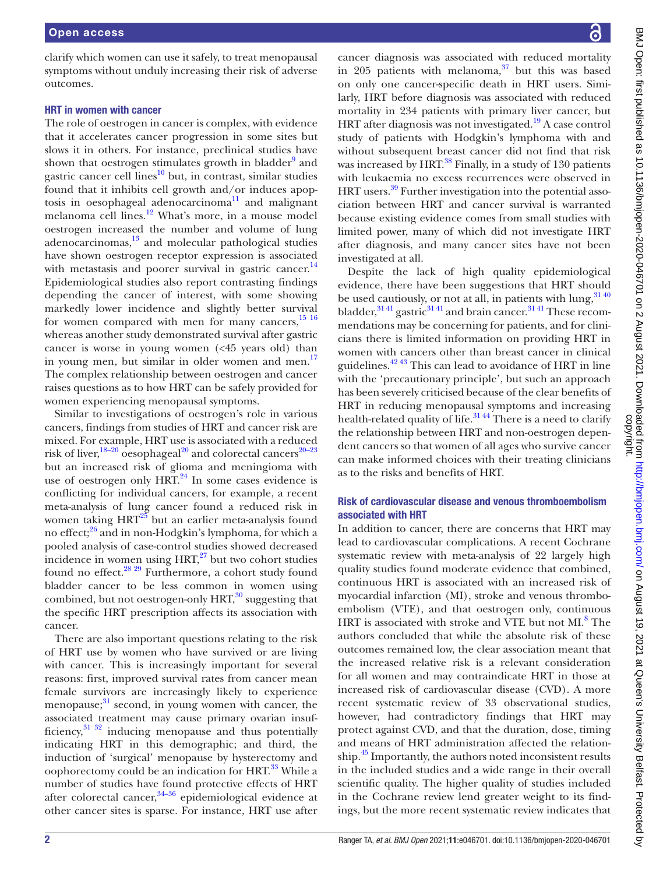clarify which women can use it safely, to treat menopausal symptoms without unduly increasing their risk of adverse outcomes.

# HRT in women with cancer

The role of oestrogen in cancer is complex, with evidence that it accelerates cancer progression in some sites but slows it in others. For instance, preclinical studies have shown that oestrogen stimulates growth in bladder<sup>[9](#page-8-7)</sup> and gastric cancer cell lines<sup>10</sup> but, in contrast, similar studies found that it inhibits cell growth and/or induces apoptosis in oesophageal adenocarcinoma $11$  and malignant melanoma cell lines.<sup>12</sup> What's more, in a mouse model oestrogen increased the number and volume of lung adenocarcinomas, $13$  and molecular pathological studies have shown oestrogen receptor expression is associated with metastasis and poorer survival in gastric cancer.<sup>14</sup> Epidemiological studies also report contrasting findings depending the cancer of interest, with some showing markedly lower incidence and slightly better survival for women compared with men for many cancers,<sup>[15 16](#page-9-3)</sup> whereas another study demonstrated survival after gastric cancer is worse in young women (<45 years old) than in young men, but similar in older women and men. $^{17}$ The complex relationship between oestrogen and cancer raises questions as to how HRT can be safely provided for women experiencing menopausal symptoms.

Similar to investigations of oestrogen's role in various cancers, findings from studies of HRT and cancer risk are mixed. For example, HRT use is associated with a reduced risk of liver,  $18-20$  oesophageal<sup>20</sup> and colorectal cancers<sup>20–23</sup> but an increased risk of glioma and meningioma with use of oestrogen only  $HRT<sup>24</sup>$  In some cases evidence is conflicting for individual cancers, for example, a recent meta-analysis of lung cancer found a reduced risk in women taking  $HRT^{25}$  but an earlier meta-analysis found no effect; $^{26}$  and in non-Hodgkin's lymphoma, for which a pooled analysis of case-control studies showed decreased incidence in women using  $HRT$ ,<sup>27</sup> but two cohort studies found no effect.<sup>28 29</sup> Furthermore, a cohort study found bladder cancer to be less common in women using combined, but not oestrogen-only  $HRT$ ,<sup>[30](#page-9-12)</sup> suggesting that the specific HRT prescription affects its association with cancer.

There are also important questions relating to the risk of HRT use by women who have survived or are living with cancer. This is increasingly important for several reasons: first, improved survival rates from cancer mean female survivors are increasingly likely to experience menopause;<sup>[31](#page-9-13)</sup> second, in young women with cancer, the associated treatment may cause primary ovarian insufficiency, $31\,32$  inducing menopause and thus potentially indicating HRT in this demographic; and third, the induction of 'surgical' menopause by hysterectomy and oophorectomy could be an indication for HRT.<sup>33</sup> While a number of studies have found protective effects of HRT after colorectal cancer,  $34-36$  epidemiological evidence at other cancer sites is sparse. For instance, HRT use after

cancer diagnosis was associated with reduced mortality in 205 patients with melanoma, $37$  but this was based on only one cancer-specific death in HRT users. Similarly, HRT before diagnosis was associated with reduced mortality in 234 patients with primary liver cancer, but HRT after diagnosis was not investigated.<sup>19</sup> A case control study of patients with Hodgkin's lymphoma with and without subsequent breast cancer did not find that risk was increased by HRT.<sup>38</sup> Finally, in a study of 130 patients with leukaemia no excess recurrences were observed in HRT users.<sup>39</sup> Further investigation into the potential association between HRT and cancer survival is warranted because existing evidence comes from small studies with limited power, many of which did not investigate HRT after diagnosis, and many cancer sites have not been investigated at all.

Despite the lack of high quality epidemiological evidence, there have been suggestions that HRT should be used cautiously, or not at all, in patients with lung,  $3140$ bladder, $3141$  gastric $3141$  and brain cancer. $3141$  These recommendations may be concerning for patients, and for clinicians there is limited information on providing HRT in women with cancers other than breast cancer in clinical guidelines[.42 43](#page-9-20) This can lead to avoidance of HRT in line with the 'precautionary principle', but such an approach has been severely criticised because of the clear benefits of HRT in reducing menopausal symptoms and increasing health-related quality of life.<sup>3144</sup> There is a need to clarify the relationship between HRT and non-oestrogen dependent cancers so that women of all ages who survive cancer can make informed choices with their treating clinicians as to the risks and benefits of HRT.

# Risk of cardiovascular disease and venous thromboembolism associated with HRT

In addition to cancer, there are concerns that HRT may lead to cardiovascular complications. A recent Cochrane systematic review with meta-analysis of 22 largely high quality studies found moderate evidence that combined, continuous HRT is associated with an increased risk of myocardial infarction (MI), stroke and venous thromboembolism (VTE), and that oestrogen only, continuous HRT is associated with stroke and VTE but not MI.<sup>[8](#page-8-6)</sup> The authors concluded that while the absolute risk of these outcomes remained low, the clear association meant that the increased relative risk is a relevant consideration for all women and may contraindicate HRT in those at increased risk of cardiovascular disease (CVD). A more recent systematic review of 33 observational studies, however, had contradictory findings that HRT may protect against CVD, and that the duration, dose, timing and means of HRT administration affected the relationship.<sup>45</sup> Importantly, the authors noted inconsistent results in the included studies and a wide range in their overall scientific quality. The higher quality of studies included in the Cochrane review lend greater weight to its findings, but the more recent systematic review indicates that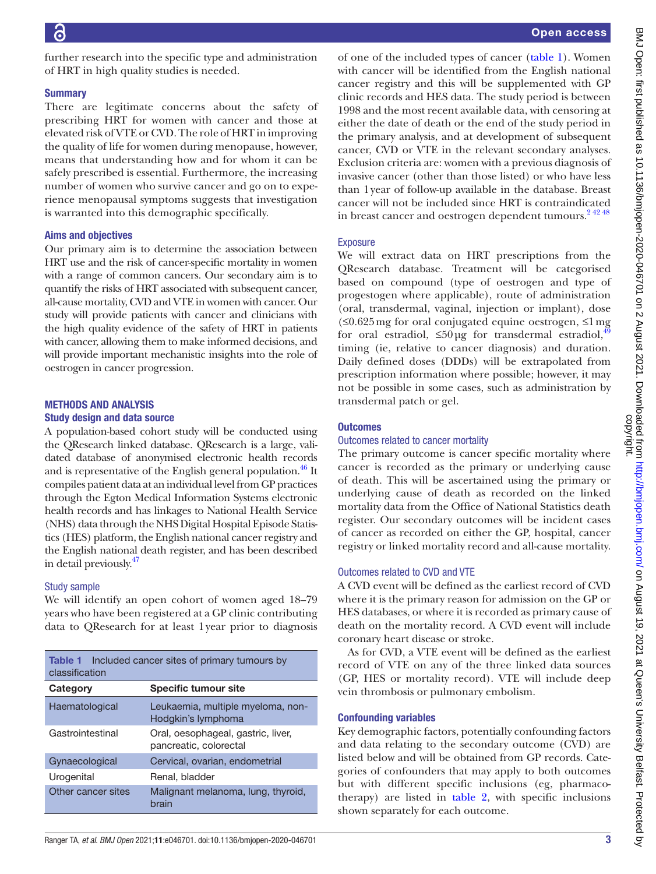further research into the specific type and administration of HRT in high quality studies is needed.

# **Summary**

There are legitimate concerns about the safety of prescribing HRT for women with cancer and those at elevated risk of VTE or CVD. The role of HRT in improving the quality of life for women during menopause, however, means that understanding how and for whom it can be safely prescribed is essential. Furthermore, the increasing number of women who survive cancer and go on to experience menopausal symptoms suggests that investigation is warranted into this demographic specifically.

# Aims and objectives

Our primary aim is to determine the association between HRT use and the risk of cancer-specific mortality in women with a range of common cancers. Our secondary aim is to quantify the risks of HRT associated with subsequent cancer, all-cause mortality, CVD and VTE in women with cancer. Our study will provide patients with cancer and clinicians with the high quality evidence of the safety of HRT in patients with cancer, allowing them to make informed decisions, and will provide important mechanistic insights into the role of oestrogen in cancer progression.

# METHODS AND ANALYSIS Study design and data source

A population-based cohort study will be conducted using the QResearch linked database. QResearch is a large, validated database of anonymised electronic health records and is representative of the English general population. $46$  It compiles patient data at an individual level from GP practices through the Egton Medical Information Systems electronic health records and has linkages to National Health Service (NHS) data through the NHS Digital Hospital Episode Statistics (HES) platform, the English national cancer registry and the English national death register, and has been described in detail previously[.47](#page-9-23)

# Study sample

We will identify an open cohort of women aged 18–79 years who have been registered at a GP clinic contributing data to QResearch for at least 1year prior to diagnosis

<span id="page-3-0"></span>

|                | <b>Table 1</b> Included cancer sites of primary tumours by |
|----------------|------------------------------------------------------------|
| classification |                                                            |

| Category           | <b>Specific tumour site</b>                                  |
|--------------------|--------------------------------------------------------------|
| Haematological     | Leukaemia, multiple myeloma, non-<br>Hodgkin's lymphoma      |
| Gastrointestinal   | Oral, oesophageal, gastric, liver,<br>pancreatic, colorectal |
| Gynaecological     | Cervical, ovarian, endometrial                               |
| Urogenital         | Renal, bladder                                               |
| Other cancer sites | Malignant melanoma, lung, thyroid,<br>brain                  |

of one of the included types of cancer ([table](#page-3-0) 1). Women with cancer will be identified from the English national cancer registry and this will be supplemented with GP clinic records and HES data. The study period is between 1998 and the most recent available data, with censoring at either the date of death or the end of the study period in the primary analysis, and at development of subsequent cancer, CVD or VTE in the relevant secondary analyses. Exclusion criteria are: women with a previous diagnosis of invasive cancer (other than those listed) or who have less than 1year of follow-up available in the database. Breast cancer will not be included since HRT is contraindicated in breast cancer and oestrogen dependent tumours.<sup>24248</sup>

# **Exposure**

We will extract data on HRT prescriptions from the QResearch database. Treatment will be categorised based on compound (type of oestrogen and type of progestogen where applicable), route of administration (oral, transdermal, vaginal, injection or implant), dose (≤0.625mg for oral conjugated equine oestrogen, ≤1mg for oral estradiol,  $\leq 50 \mu g$  for transdermal estradiol,<sup>[49](#page-9-24)</sup> timing (ie, relative to cancer diagnosis) and duration. Daily defined doses (DDDs) will be extrapolated from prescription information where possible; however, it may not be possible in some cases, such as administration by transdermal patch or gel.

# **Outcomes**

# Outcomes related to cancer mortality

The primary outcome is cancer specific mortality where cancer is recorded as the primary or underlying cause of death. This will be ascertained using the primary or underlying cause of death as recorded on the linked mortality data from the Office of National Statistics death register. Our secondary outcomes will be incident cases of cancer as recorded on either the GP, hospital, cancer registry or linked mortality record and all-cause mortality.

# Outcomes related to CVD and VTE

A CVD event will be defined as the earliest record of CVD where it is the primary reason for admission on the GP or HES databases, or where it is recorded as primary cause of death on the mortality record. A CVD event will include coronary heart disease or stroke.

As for CVD, a VTE event will be defined as the earliest record of VTE on any of the three linked data sources (GP, HES or mortality record). VTE will include deep vein thrombosis or pulmonary embolism.

# Confounding variables

Key demographic factors, potentially confounding factors and data relating to the secondary outcome (CVD) are listed below and will be obtained from GP records. Categories of confounders that may apply to both outcomes but with different specific inclusions (eg, pharmacotherapy) are listed in [table](#page-4-0) 2, with specific inclusions shown separately for each outcome.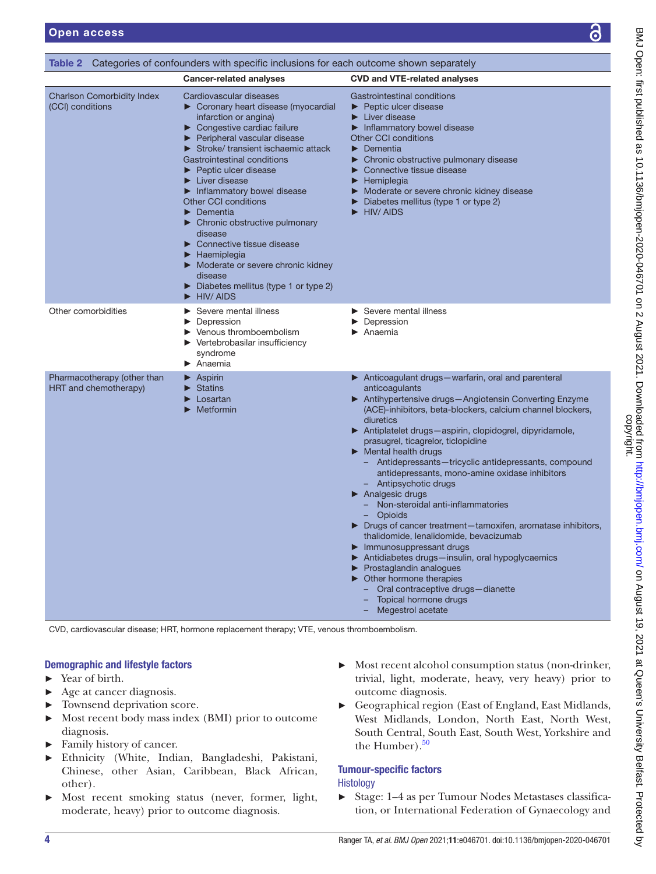<span id="page-4-0"></span>

|                                                       | <b>Table 2</b> Categories of confounders with specific inclusions for each outcome shown separately                                                                                                                                                                                                                                                                                                                                                                                                                                                                                                                                                                                |                                                                                                                                                                                                                                                                                                                                                                                                                                                                                                                                                                                                                                                                                                                                                                                                                                                                                                                                             |
|-------------------------------------------------------|------------------------------------------------------------------------------------------------------------------------------------------------------------------------------------------------------------------------------------------------------------------------------------------------------------------------------------------------------------------------------------------------------------------------------------------------------------------------------------------------------------------------------------------------------------------------------------------------------------------------------------------------------------------------------------|---------------------------------------------------------------------------------------------------------------------------------------------------------------------------------------------------------------------------------------------------------------------------------------------------------------------------------------------------------------------------------------------------------------------------------------------------------------------------------------------------------------------------------------------------------------------------------------------------------------------------------------------------------------------------------------------------------------------------------------------------------------------------------------------------------------------------------------------------------------------------------------------------------------------------------------------|
| <b>Charlson Comorbidity Index</b><br>(CCI) conditions | <b>Cancer-related analyses</b><br>Cardiovascular diseases<br>Coronary heart disease (myocardial<br>infarction or angina)<br>Congestive cardiac failure<br>▶ Peripheral vascular disease<br>Stroke/transient ischaemic attack<br>Gastrointestinal conditions<br>$\blacktriangleright$ Peptic ulcer disease<br>$\blacktriangleright$ Liver disease<br>Inflammatory bowel disease<br>Other CCI conditions<br>Dementia<br>$\blacktriangleright$ Chronic obstructive pulmonary<br>disease<br>$\triangleright$ Connective tissue disease<br>Haemiplegia<br>Moderate or severe chronic kidney<br>disease<br>$\triangleright$ Diabetes mellitus (type 1 or type 2)<br><b>HIV/AIDS</b><br>▶ | <b>CVD and VTE-related analyses</b><br>Gastrointestinal conditions<br>▶ Peptic ulcer disease<br>$\blacktriangleright$ Liver disease<br>Inflammatory bowel disease<br><b>Other CCI conditions</b><br>$\blacktriangleright$ Dementia<br>▶ Chronic obstructive pulmonary disease<br>Connective tissue disease<br>$\blacktriangleright$ Hemiplegia<br>Moderate or severe chronic kidney disease<br>$\triangleright$ Diabetes mellitus (type 1 or type 2)<br>HIV/AIDS                                                                                                                                                                                                                                                                                                                                                                                                                                                                            |
| Other comorbidities                                   | Severe mental illness<br>Depression<br>$\blacktriangleright$ Venous thromboembolism<br>$\blacktriangleright$ Vertebrobasilar insufficiency<br>syndrome<br>$\blacktriangleright$ Anaemia                                                                                                                                                                                                                                                                                                                                                                                                                                                                                            | Severe mental illness<br>Depression<br>$\blacktriangleright$ Anaemia                                                                                                                                                                                                                                                                                                                                                                                                                                                                                                                                                                                                                                                                                                                                                                                                                                                                        |
| Pharmacotherapy (other than<br>HRT and chemotherapy)  | $\blacktriangleright$ Aspirin<br><b>Statins</b><br>Losartan<br>$\blacktriangleright$ Metformin                                                                                                                                                                                                                                                                                                                                                                                                                                                                                                                                                                                     | Anticoagulant drugs-warfarin, oral and parenteral<br>anticoagulants<br>▶ Antihypertensive drugs-Angiotensin Converting Enzyme<br>(ACE)-inhibitors, beta-blockers, calcium channel blockers,<br>diuretics<br>Antiplatelet drugs-aspirin, clopidogrel, dipyridamole,<br>prasugrel, ticagrelor, ticlopidine<br>$\blacktriangleright$ Mental health drugs<br>- Antidepressants-tricyclic antidepressants, compound<br>antidepressants, mono-amine oxidase inhibitors<br>- Antipsychotic drugs<br>$\blacktriangleright$ Analgesic drugs<br>Non-steroidal anti-inflammatories<br>Opioids<br>> Drugs of cancer treatment-tamoxifen, aromatase inhibitors,<br>thalidomide, lenalidomide, bevacizumab<br>Immunosuppressant drugs<br>Antidiabetes drugs-insulin, oral hypoglycaemics<br>$\blacktriangleright$ Prostaglandin analogues<br>• Other hormone therapies<br>Oral contraceptive drugs-dianette<br>Topical hormone drugs<br>Megestrol acetate |

CVD, cardiovascular disease; HRT, hormone replacement therapy; VTE, venous thromboembolism.

# Demographic and lifestyle factors

- Year of birth.
- ► Age at cancer diagnosis.
- ► Townsend deprivation score.
- ► Most recent body mass index (BMI) prior to outcome diagnosis.
- ► Family history of cancer.
- ► Ethnicity (White, Indian, Bangladeshi, Pakistani, Chinese, other Asian, Caribbean, Black African, other).
- ► Most recent smoking status (never, former, light, moderate, heavy) prior to outcome diagnosis.
- ► Most recent alcohol consumption status (non-drinker, trivial, light, moderate, heavy, very heavy) prior to outcome diagnosis.
- ► Geographical region (East of England, East Midlands, West Midlands, London, North East, North West, South Central, South East, South West, Yorkshire and the Humber). $50$

# Tumour-specific factors

**Histology** 

► Stage: 1–4 as per Tumour Nodes Metastases classification, or International Federation of Gynaecology and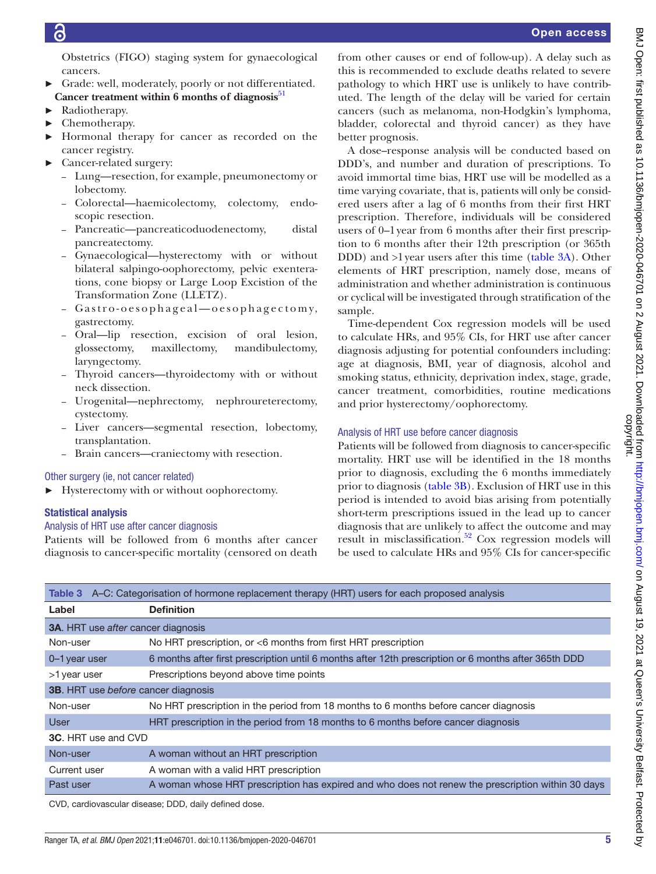Obstetrics (FIGO) staging system for gynaecological cancers.

- Grade: well, moderately, poorly or not differentiated. Cancer treatment within 6 months of diagnosis<sup>[51](#page-9-26)</sup>
- ► Radiotherapy.
- ► Chemotherapy.
- Hormonal therapy for cancer as recorded on the cancer registry.
- ► Cancer-related surgery:
	- Lung—resection, for example, pneumonectomy or lobectomy.
	- Colorectal—haemicolectomy, colectomy, endoscopic resection.
	- Pancreatic—pancreaticoduodenectomy, distal pancreatectomy.
	- Gynaecological—hysterectomy with or without bilateral salpingo-oophorectomy, pelvic exenterations, cone biopsy or Large Loop Excistion of the Transformation Zone (LLETZ).
	- Gastro-oesophageal-oesophagectomy, gastrectomy.
	- Oral—lip resection, excision of oral lesion, glossectomy, maxillectomy, mandibulectomy, laryngectomy.
	- Thyroid cancers—thyroidectomy with or without neck dissection.
	- Urogenital—nephrectomy, nephroureterectomy, cystectomy.
	- Liver cancers—segmental resection, lobectomy, transplantation.
	- Brain cancers—craniectomy with resection.

# Other surgery (ie, not cancer related)

► Hysterectomy with or without oophorectomy.

# Statistical analysis

# Analysis of HRT use after cancer diagnosis

Patients will be followed from 6 months after cancer diagnosis to cancer-specific mortality (censored on death

from other causes or end of follow-up). A delay such as this is recommended to exclude deaths related to severe pathology to which HRT use is unlikely to have contributed. The length of the delay will be varied for certain cancers (such as melanoma, non-Hodgkin's lymphoma, bladder, colorectal and thyroid cancer) as they have better prognosis.

A dose–response analysis will be conducted based on DDD's, and number and duration of prescriptions. To avoid immortal time bias, HRT use will be modelled as a time varying covariate, that is, patients will only be considered users after a lag of 6 months from their first HRT prescription. Therefore, individuals will be considered users of 0–1year from 6 months after their first prescription to 6 months after their 12th prescription (or 365th DDD) and >1year users after this time [\(table](#page-5-0) 3A). Other elements of HRT prescription, namely dose, means of administration and whether administration is continuous or cyclical will be investigated through stratification of the sample.

Time-dependent Cox regression models will be used to calculate HRs, and 95% CIs, for HRT use after cancer diagnosis adjusting for potential confounders including: age at diagnosis, BMI, year of diagnosis, alcohol and smoking status, ethnicity, deprivation index, stage, grade, cancer treatment, comorbidities, routine medications and prior hysterectomy/oophorectomy.

# Analysis of HRT use before cancer diagnosis

Patients will be followed from diagnosis to cancer-specific mortality. HRT use will be identified in the 18 months prior to diagnosis, excluding the 6 months immediately prior to diagnosis ([table](#page-5-0) 3B). Exclusion of HRT use in this period is intended to avoid bias arising from potentially short-term prescriptions issued in the lead up to cancer diagnosis that are unlikely to affect the outcome and may result in misclassification.<sup>52</sup> Cox regression models will be used to calculate HRs and 95% CIs for cancer-specific

<span id="page-5-0"></span>

|                                            | Table 3 A-C: Categorisation of hormone replacement therapy (HRT) users for each proposed analysis    |
|--------------------------------------------|------------------------------------------------------------------------------------------------------|
| Label                                      | <b>Definition</b>                                                                                    |
| <b>3A.</b> HRT use after cancer diagnosis  |                                                                                                      |
| Non-user                                   | No HRT prescription, or <6 months from first HRT prescription                                        |
| 0-1 year user                              | 6 months after first prescription until 6 months after 12th prescription or 6 months after 365th DDD |
| >1 year user                               | Prescriptions beyond above time points                                                               |
| <b>3B.</b> HRT use before cancer diagnosis |                                                                                                      |
| Non-user                                   | No HRT prescription in the period from 18 months to 6 months before cancer diagnosis                 |
| User                                       | HRT prescription in the period from 18 months to 6 months before cancer diagnosis                    |
| <b>3C.</b> HRT use and CVD                 |                                                                                                      |
| Non-user                                   | A woman without an HRT prescription                                                                  |
| Current user                               | A woman with a valid HRT prescription                                                                |
| Past user                                  | A woman whose HRT prescription has expired and who does not renew the prescription within 30 days    |

CVD, cardiovascular disease; DDD, daily defined dose.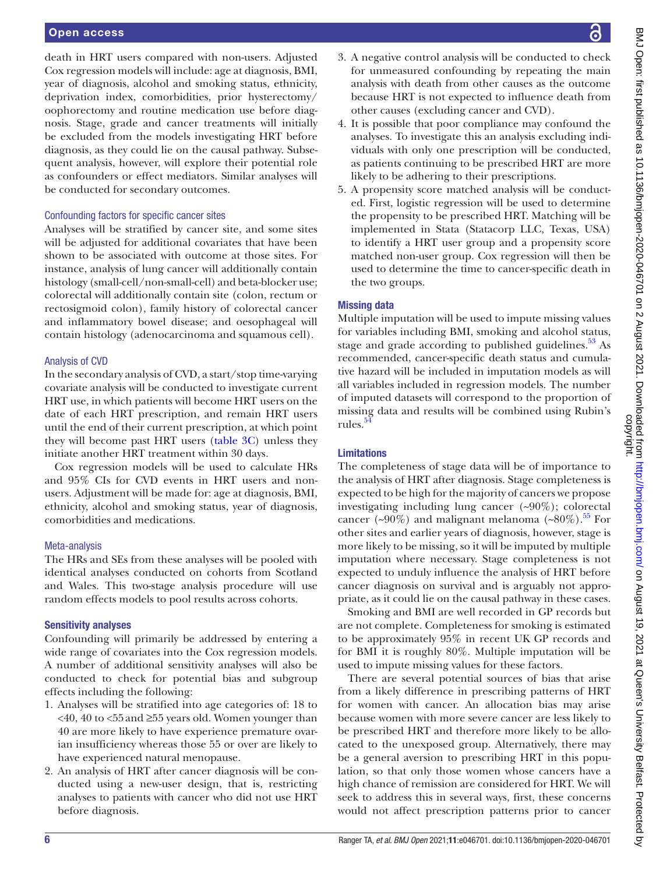# Open access

death in HRT users compared with non-users. Adjusted Cox regression models will include: age at diagnosis, BMI, year of diagnosis, alcohol and smoking status, ethnicity, deprivation index, comorbidities, prior hysterectomy/ oophorectomy and routine medication use before diagnosis. Stage, grade and cancer treatments will initially be excluded from the models investigating HRT before diagnosis, as they could lie on the causal pathway. Subsequent analysis, however, will explore their potential role as confounders or effect mediators. Similar analyses will be conducted for secondary outcomes.

# Confounding factors for specific cancer sites

Analyses will be stratified by cancer site, and some sites will be adjusted for additional covariates that have been shown to be associated with outcome at those sites. For instance, analysis of lung cancer will additionally contain histology (small-cell/non-small-cell) and beta-blocker use; colorectal will additionally contain site (colon, rectum or rectosigmoid colon), family history of colorectal cancer and inflammatory bowel disease; and oesophageal will contain histology (adenocarcinoma and squamous cell).

#### Analysis of CVD

In the secondary analysis of CVD, a start/stop time-varying covariate analysis will be conducted to investigate current HRT use, in which patients will become HRT users on the date of each HRT prescription, and remain HRT users until the end of their current prescription, at which point they will become past HRT users ([table](#page-5-0) 3C) unless they initiate another HRT treatment within 30 days.

Cox regression models will be used to calculate HRs and 95% CIs for CVD events in HRT users and nonusers. Adjustment will be made for: age at diagnosis, BMI, ethnicity, alcohol and smoking status, year of diagnosis, comorbidities and medications.

#### Meta-analysis

The HRs and SEs from these analyses will be pooled with identical analyses conducted on cohorts from Scotland and Wales. This two-stage analysis procedure will use random effects models to pool results across cohorts.

#### Sensitivity analyses

Confounding will primarily be addressed by entering a wide range of covariates into the Cox regression models. A number of additional sensitivity analyses will also be conducted to check for potential bias and subgroup effects including the following:

- 1. Analyses will be stratified into age categories of: 18 to  $\leq$ 40, 40 to  $\leq$ 55 and  $\geq$ 55 years old. Women younger than 40 are more likely to have experience premature ovarian insufficiency whereas those 55 or over are likely to have experienced natural menopause.
- 2. An analysis of HRT after cancer diagnosis will be conducted using a new-user design, that is, restricting analyses to patients with cancer who did not use HRT before diagnosis.
- 3. A negative control analysis will be conducted to check for unmeasured confounding by repeating the main analysis with death from other causes as the outcome because HRT is not expected to influence death from other causes (excluding cancer and CVD).
- 4. It is possible that poor compliance may confound the analyses. To investigate this an analysis excluding individuals with only one prescription will be conducted, as patients continuing to be prescribed HRT are more likely to be adhering to their prescriptions.
- 5. A propensity score matched analysis will be conducted. First, logistic regression will be used to determine the propensity to be prescribed HRT. Matching will be implemented in Stata (Statacorp LLC, Texas, USA) to identify a HRT user group and a propensity score matched non-user group. Cox regression will then be used to determine the time to cancer-specific death in the two groups.

#### Missing data

Multiple imputation will be used to impute missing values for variables including BMI, smoking and alcohol status, stage and grade according to published guidelines. $53$  As recommended, cancer-specific death status and cumulative hazard will be included in imputation models as will all variables included in regression models. The number of imputed datasets will correspond to the proportion of missing data and results will be combined using Rubin's rules. $54$ 

# Limitations

The completeness of stage data will be of importance to the analysis of HRT after diagnosis. Stage completeness is expected to be high for the majority of cancers we propose investigating including lung cancer  $(\sim 90\%)$ ; colorectal cancer (~90%) and malignant melanoma (~80%).<sup>[55](#page-9-30)</sup> For other sites and earlier years of diagnosis, however, stage is more likely to be missing, so it will be imputed by multiple imputation where necessary. Stage completeness is not expected to unduly influence the analysis of HRT before cancer diagnosis on survival and is arguably not appropriate, as it could lie on the causal pathway in these cases.

Smoking and BMI are well recorded in GP records but are not complete. Completeness for smoking is estimated to be approximately 95% in recent UK GP records and for BMI it is roughly 80%. Multiple imputation will be used to impute missing values for these factors.

There are several potential sources of bias that arise from a likely difference in prescribing patterns of HRT for women with cancer. An allocation bias may arise because women with more severe cancer are less likely to be prescribed HRT and therefore more likely to be allocated to the unexposed group. Alternatively, there may be a general aversion to prescribing HRT in this population, so that only those women whose cancers have a high chance of remission are considered for HRT. We will seek to address this in several ways, first, these concerns would not affect prescription patterns prior to cancer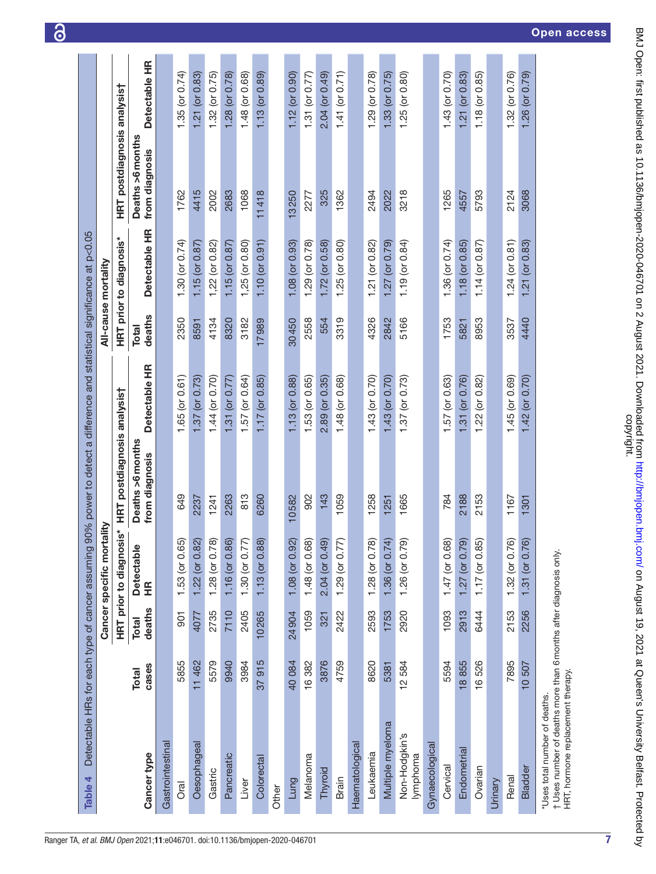|                                                                                                                                        | Detectable HRs for each type of cancer assuming |                        | tality<br>Cancer specific mor                      |                                                     |                     |                 | All-cause mortality            |                                    |                     |
|----------------------------------------------------------------------------------------------------------------------------------------|-------------------------------------------------|------------------------|----------------------------------------------------|-----------------------------------------------------|---------------------|-----------------|--------------------------------|------------------------------------|---------------------|
|                                                                                                                                        |                                                 |                        |                                                    | HRT prior to diagnosis* HRT postdiagnosis analysist |                     |                 | <b>HRT prior to diagnosis*</b> | HRT postdiagnosis analysis†        |                     |
| Cancer type                                                                                                                            | cases<br>Total                                  | deaths<br><b>Total</b> | <b>Detectable</b><br>ΞĚ                            | Deaths >6 months<br>from diagnosis                  | Detectable HR       | deaths<br>Total | Detectable HR                  | Deaths >6 months<br>from diagnosis | Detectable HR       |
| Gastrointestinal                                                                                                                       |                                                 |                        |                                                    |                                                     |                     |                 |                                |                                    |                     |
| Oral                                                                                                                                   | 5855                                            | $\overline{5}$         |                                                    | 649                                                 | $1.65$ (or $0.61$ ) | 2350            | 1.30 (or $0.74$ )              | 1762                               | 1.35 (or $0.74$ )   |
| Oesophageal                                                                                                                            | 11 462                                          | 4077                   | 1.53 (or 0.65)<br>1.22 (or 0.82)<br>1.28 (or 0.78) | 2237                                                | $1.37$ (or 0.73)    | 8591            | $1.15$ (or $0.87$ )            | 4415                               | $1.21$ (or $0.83$ ) |
| Gastric                                                                                                                                | 5579                                            | 2735                   |                                                    | 1241                                                | 1.44 (or 0.70)      | 4134            | $1,22$ (or $0.82$ )            | 2002                               | $1.32$ (or $0.75$ ) |
| Pancreatic                                                                                                                             | 9940                                            | 7110                   |                                                    | 2263                                                | 1.31 (or $0.77$ )   | 8320            | $1.15$ (or 0.87)               | 2683                               | $1.28$ (or $0.78$ ) |
| Liver                                                                                                                                  | 3984                                            | 2405                   | 1.16 (or 0.86)<br>1.30 (or 0.77)                   | 813                                                 | $1.57$ (or 0.64)    | 3182            | $1,25$ (or $0.80$ )            | 1068                               | $1.48$ (or $0.68$ ) |
| Colorectal                                                                                                                             | 37915                                           | 10265                  | ഌ<br>$1.13$ (or 0.8                                | 6260                                                | $1.17$ (or $0.85$ ) | 17989           | $1.10$ (or $0.91$ )            | 11418                              | $1.13$ (or $0.89$ ) |
| Other                                                                                                                                  |                                                 |                        |                                                    |                                                     |                     |                 |                                |                                    |                     |
| Lung                                                                                                                                   | 40084                                           | 24904                  | 1.08 (or 0.92)                                     | 10582                                               | $1.13$ (or $0.88$ ) | 30450           | $1.08$ (or $0.93$ )            | 13250                              | $1.12$ (or $0.90$ ) |
| Melanoma                                                                                                                               | 16382                                           | 1059                   | 1.48 (or 0.68)                                     | 902                                                 | $1.53$ (or $0.65$ ) | 2558            | $1.29$ (or 0.78)               | 2277                               | 1.31 (or $0.77$ )   |
| Thyroid                                                                                                                                | 3876                                            | 321                    | 2.04 (or 0.49)                                     | 143                                                 | $2.89$ (or $0.35$ ) | 554             | $1.72$ (or $0.58$ )            | 325                                | $2.04$ (or $0.49$ ) |
| Brain                                                                                                                                  | 4759                                            | 2422                   | $1.29$ (or $0.77$ )                                | 1059                                                | $1.48$ (or 0.68)    | 3319            | $1.25$ (or $0.80$ )            | 1362                               | $1.41$ (or 0.71)    |
| Haematological                                                                                                                         |                                                 |                        |                                                    |                                                     |                     |                 |                                |                                    |                     |
| Leukaemia                                                                                                                              | 8620                                            | 2593                   | $1.28$ (or $0.78$ )                                | 1258                                                | $1.43$ (or $0.70$ ) | 4326            | $1.21$ (or $0.82$ )            | 2494                               | $1.29$ (or $0.78$ ) |
| Multiple myeloma                                                                                                                       | 5381                                            | 1753                   | 1.36 (or $0.74$ )                                  | 1251                                                | $1.43$ (or 0.70)    | 2842            | $1.27$ (or $0.79$ )            | 2022                               | $1.33$ (or $0.75$ ) |
| Non-Hodgkin's<br>lymphoma                                                                                                              | 12584                                           | 2920                   | 1.26 (or 0.79)                                     | 1665                                                | $1.37$ (or 0.73)    | 5166            | $1.19$ (or 0.84)               | 3218                               | $1.25$ (or $0.80$ ) |
| Gynaecologica                                                                                                                          |                                                 |                        |                                                    |                                                     |                     |                 |                                |                                    |                     |
| Cervical                                                                                                                               | 5594                                            | 1093                   |                                                    | 784                                                 | $1.57$ (or 0.63)    | 1753            | 1.36 (or $0.74$ )              | 1265                               | $1.43$ (or $0.70$ ) |
| Endometrial                                                                                                                            | 18855                                           | 2913                   | 1.47 (or 0.68)<br>1.27 (or 0.79)<br>1.17 (or 0.85) | 2188                                                | 1.31 (or 0.76)      | 5821            | $1.18$ (or $0.85$ )            | 4557                               | $1.21$ (or $0.83$ ) |
| Ovarian                                                                                                                                | 16526                                           | 6444                   |                                                    | 2153                                                | $1.22$ (or $0.82$ ) | 8953            | $1.14$ (or 0.87)               | 5793                               | $1.18$ (or $0.85$ ) |
| Urinary                                                                                                                                |                                                 |                        |                                                    |                                                     |                     |                 |                                |                                    |                     |
| Renal                                                                                                                                  | 7895                                            | 2153                   | $\widehat{\omega}$<br>$1.32$ (or 0.7               | 1167                                                | $1.45$ (or 0.69)    | 3537            | $1.24$ (or $0.81$ )            | 2124                               | $1.32$ (or $0.76$ ) |
| <b>Bladder</b>                                                                                                                         | 10 507                                          | 2256                   | $\widehat{\omega}$<br>$1.31$ (or 0.7)              | 1301                                                | $1.42$ (or 0.70)    | 4440            | $1.21$ (or 0.83)               | 3068                               | $1.26$ (or 0.79)    |
| t Uses number of deaths more than 6 months after diagnosis only.<br>HRT, hormone replacement therapy.<br>*Uses total number of deaths. |                                                 |                        |                                                    |                                                     |                     |                 |                                |                                    |                     |

ි

7

Open access

<span id="page-7-0"></span>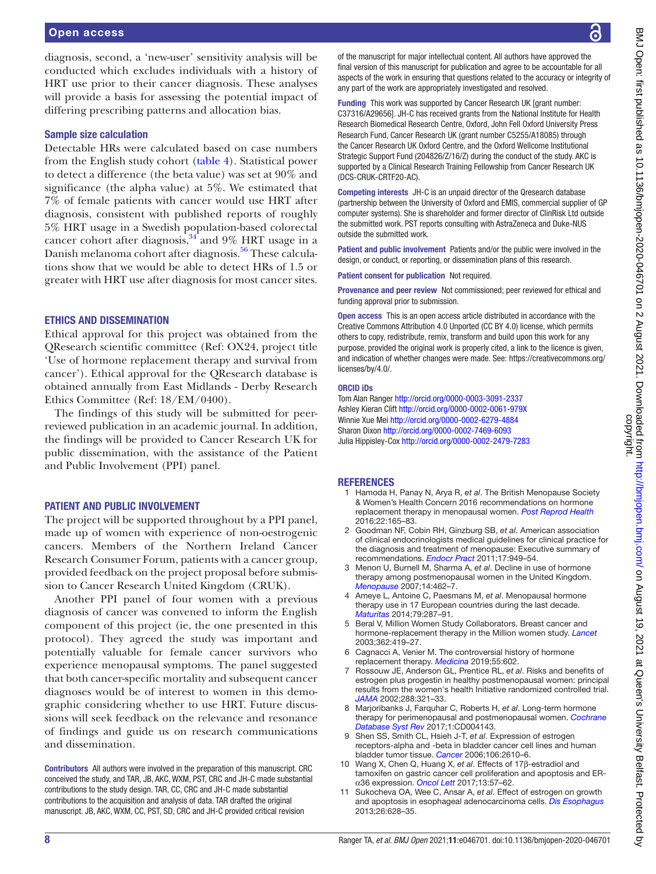# Open access

diagnosis, second, a 'new-user' sensitivity analysis will be conducted which excludes individuals with a history of HRT use prior to their cancer diagnosis. These analyses will provide a basis for assessing the potential impact of differing prescribing patterns and allocation bias.

# Sample size calculation

Detectable HRs were calculated based on case numbers from the English study cohort ([table](#page-7-0) 4). Statistical power to detect a difference (the beta value) was set at 90% and significance (the alpha value) at 5%. We estimated that 7% of female patients with cancer would use HRT after diagnosis, consistent with published reports of roughly 5% HRT usage in a Swedish population-based colorectal cancer cohort after diagnosis,  $34$  and 9% HRT usage in a Danish melanoma cohort after diagnosis.<sup>[56](#page-9-31)</sup> These calculations show that we would be able to detect HRs of 1.5 or greater with HRT use after diagnosis for most cancer sites.

# ETHICS AND DISSEMINATION

Ethical approval for this project was obtained from the QResearch scientific committee (Ref: OX24, project title 'Use of hormone replacement therapy and survival from cancer'). Ethical approval for the QResearch database is obtained annually from East Midlands - Derby Research Ethics Committee (Ref: 18/EM/0400).

The findings of this study will be submitted for peerreviewed publication in an academic journal. In addition, the findings will be provided to Cancer Research UK for public dissemination, with the assistance of the Patient and Public Involvement (PPI) panel.

#### PATIENT AND PUBLIC INVOLVEMENT

The project will be supported throughout by a PPI panel, made up of women with experience of non-oestrogenic cancers. Members of the Northern Ireland Cancer Research Consumer Forum, patients with a cancer group, provided feedback on the project proposal before submission to Cancer Research United Kingdom (CRUK).

Another PPI panel of four women with a previous diagnosis of cancer was convened to inform the English component of this project (ie, the one presented in this protocol). They agreed the study was important and potentially valuable for female cancer survivors who experience menopausal symptoms. The panel suggested that both cancer-specific mortality and subsequent cancer diagnoses would be of interest to women in this demographic considering whether to use HRT. Future discussions will seek feedback on the relevance and resonance of findings and guide us on research communications and dissemination.

Contributors All authors were involved in the preparation of this manuscript. CRC conceived the study, and TAR, JB, AKC, WXM, PST, CRC and JH-C made substantial contributions to the study design. TAR, CC, CRC and JH-C made substantial contributions to the acquisition and analysis of data. TAR drafted the original manuscript. JB, AKC, WXM, CC, PST, SD, CRC and JH-C provided critical revision

of the manuscript for major intellectual content. All authors have approved the final version of this manuscript for publication and agree to be accountable for all aspects of the work in ensuring that questions related to the accuracy or integrity of any part of the work are appropriately investigated and resolved.

Funding This work was supported by Cancer Research UK [grant number: C37316/A29656]. JH-C has received grants from the National Institute for Health Research Biomedical Research Centre, Oxford, John Fell Oxford University Press Research Fund, Cancer Research UK (grant number C5255/A18085) through the Cancer Research UK Oxford Centre, and the Oxford Wellcome Institutional Strategic Support Fund (204826/Z/16/Z) during the conduct of the study. AKC is supported by a Clinical Research Training Fellowship from Cancer Research UK (DCS-CRUK-CRTF20-AC).

Competing interests JH-C is an unpaid director of the Qresearch database (partnership between the University of Oxford and EMIS, commercial supplier of GP computer systems). She is shareholder and former director of ClinRisk Ltd outside the submitted work. PST reports consulting with AstraZeneca and Duke-NUS outside the submitted work.

Patient and public involvement Patients and/or the public were involved in the design, or conduct, or reporting, or dissemination plans of this research.

Patient consent for publication Not required.

Provenance and peer review Not commissioned; peer reviewed for ethical and funding approval prior to submission.

Open access This is an open access article distributed in accordance with the Creative Commons Attribution 4.0 Unported (CC BY 4.0) license, which permits others to copy, redistribute, remix, transform and build upon this work for any purpose, provided the original work is properly cited, a link to the licence is given, and indication of whether changes were made. See: [https://creativecommons.org/](https://creativecommons.org/licenses/by/4.0/) [licenses/by/4.0/](https://creativecommons.org/licenses/by/4.0/).

#### ORCID iDs

Tom Alan Ranger <http://orcid.org/0000-0003-3091-2337> Ashley Kieran Clift<http://orcid.org/0000-0002-0061-979X> Winnie Xue Mei <http://orcid.org/0000-0002-6279-4884> Sharon Dixon<http://orcid.org/0000-0002-7469-6093> Julia Hippisley-Cox<http://orcid.org/0000-0002-2479-7283>

# **REFERENCES**

- <span id="page-8-0"></span>1 Hamoda H, Panay N, Arya R, *et al*. The British Menopause Society & Women's Health Concern 2016 recommendations on hormone replacement therapy in menopausal women. *[Post Reprod Health](http://dx.doi.org/10.1177/2053369116680501)* 2016;22:165–83.
- <span id="page-8-1"></span>2 Goodman NF, Cobin RH, Ginzburg SB, *et al*. American association of clinical endocrinologists medical guidelines for clinical practice for the diagnosis and treatment of menopause: Executive summary of recommendations. *[Endocr Pract](http://dx.doi.org/10.4158/EP.17.6.949)* 2011;17:949–54.
- <span id="page-8-2"></span>3 Menon U, Burnell M, Sharma A, *et al*. Decline in use of hormone therapy among postmenopausal women in the United Kingdom. *[Menopause](http://dx.doi.org/10.1097/01.gme.0000243569.70946.9d)* 2007;14:462–7.
- <span id="page-8-3"></span>4 Ameye L, Antoine C, Paesmans M, *et al*. Menopausal hormone therapy use in 17 European countries during the last decade. *[Maturitas](http://dx.doi.org/10.1016/j.maturitas.2014.07.002)* 2014;79:287–91.
- <span id="page-8-4"></span>5 Beral V, Million Women Study Collaborators. Breast cancer and hormone-replacement therapy in the Million women study. *[Lancet](http://dx.doi.org/10.1016/S0140-6736(03)14065-2)* 2003;362:419–27.
- 6 Cagnacci A, Venier M. The controversial history of hormone replacement therapy. *[Medicina](http://dx.doi.org/10.3390/medicina55090602)* 2019;55:602.
- <span id="page-8-5"></span>7 Rossouw JE, Anderson GL, Prentice RL, *et al*. Risks and benefits of estrogen plus progestin in healthy postmenopausal women: principal results from the women's health Initiative randomized controlled trial. *[JAMA](http://dx.doi.org/10.1001/jama.288.3.321)* 2002;288:321–33.
- <span id="page-8-6"></span>8 Marjoribanks J, Farquhar C, Roberts H, *et al*. Long-term hormone therapy for perimenopausal and postmenopausal women. *[Cochrane](http://dx.doi.org/10.1002/14651858.CD004143.pub5)  [Database Syst Rev](http://dx.doi.org/10.1002/14651858.CD004143.pub5)* 2017;1:CD004143.
- <span id="page-8-7"></span>9 Shen SS, Smith CL, Hsieh J-T, *et al*. Expression of estrogen receptors-alpha and -beta in bladder cancer cell lines and human bladder tumor tissue. *[Cancer](http://dx.doi.org/10.1002/cncr.21945)* 2006;106:2610–6.
- <span id="page-8-8"></span>10 Wang X, Chen Q, Huang X, *et al*. Effects of 17β-estradiol and tamoxifen on gastric cancer cell proliferation and apoptosis and ERα36 expression. *[Oncol Lett](http://dx.doi.org/10.3892/ol.2016.5424)* 2017;13:57–62.
- <span id="page-8-9"></span>11 Sukocheva OA, Wee C, Ansar A, *et al*. Effect of estrogen on growth and apoptosis in esophageal adenocarcinoma cells. *[Dis Esophagus](http://dx.doi.org/10.1111/dote.12000)* 2013;26:628–35.